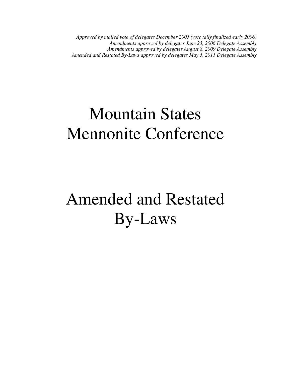*Approved by mailed vote of delegates December 2005 (vote tally finalized early 2006) Amendments approved by delegates June 23, 2006 Delegate Assembly Amendments approved by delegates August 8, 2009 Delegate Assembly Amended and Restated By-Laws approved by delegates May 5, 2011 Delegate Assembly* 

## Mountain States Mennonite Conference

# Amended and Restated By-Laws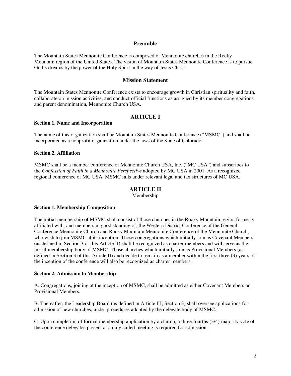## **Preamble**

The Mountain States Mennonite Conference is composed of Mennonite churches in the Rocky Mountain region of the United States. The vision of Mountain States Mennonite Conference is to pursue God's dreams by the power of the Holy Spirit in the way of Jesus Christ.

#### **Mission Statement**

The Mountain States Mennonite Conference exists to encourage growth in Christian spirituality and faith, collaborate on mission activities, and conduct official functions as assigned by its member congregations and parent denomination, Mennonite Church USA.

## **ARTICLE I**

#### **Section 1. Name and Incorporation**

The name of this organization shall be Mountain States Mennonite Conference ("MSMC") and shall be incorporated as a nonprofit organization under the laws of the State of Colorado.

#### **Section 2. Affiliation**

MSMC shall be a member conference of Mennonite Church USA, Inc. ("MC USA") and subscribes to the *Confession of Faith in a Mennonite Perspective* adopted by MC USA in 2001. As a recognized regional conference of MC USA, MSMC falls under relevant legal and tax structures of MC USA.

#### **ARTICLE II**

Membership

#### **Section 1. Membership Composition**

The initial membership of MSMC shall consist of those churches in the Rocky Mountain region formerly affiliated with, and members in good standing of, the Western District Conference of the General Conference Mennonite Church and Rocky Mountain Mennonite Conference of the Mennonite Church, who wish to join MSMC at its inception. Those congregations which initially join as Covenant Members (as defined in Section 3 of this Article II) shall be recognized as charter members and will serve as the initial membership body of MSMC. Those churches which initially join as Provisional Members (as defined in Section 3 of this Article II) and decide to remain as a member within the first three (3) years of the inception of the conference will also be recognized as charter members.

#### **Section 2. Admission to Membership**

A. Congregations, joining at the inception of MSMC, shall be admitted as either Covenant Members or Provisional Members.

B. Thereafter, the Leadership Board (as defined in Article III, Section 3) shall oversee applications for admission of new churches, under procedures adopted by the delegate body of MSMC.

C. Upon completion of formal membership application by a church, a three-fourths (3/4) majority vote of the conference delegates present at a duly called meeting is required for admission.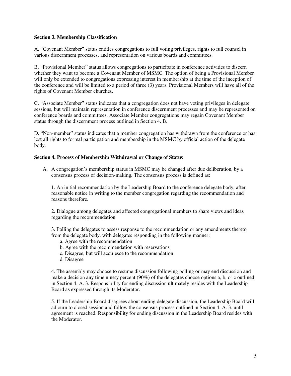#### **Section 3. Membership Classification**

A. "Covenant Member" status entitles congregations to full voting privileges, rights to full counsel in various discernment processes, and representation on various boards and committees.

B. "Provisional Member" status allows congregations to participate in conference activities to discern whether they want to become a Covenant Member of MSMC. The option of being a Provisional Member will only be extended to congregations expressing interest in membership at the time of the inception of the conference and will be limited to a period of three (3) years. Provisional Members will have all of the rights of Covenant Member churches.

C. "Associate Member" status indicates that a congregation does not have voting privileges in delegate sessions, but will maintain representation in conference discernment processes and may be represented on conference boards and committees. Associate Member congregations may regain Covenant Member status through the discernment process outlined in Section 4. B.

D. "Non-member" status indicates that a member congregation has withdrawn from the conference or has lost all rights to formal participation and membership in the MSMC by official action of the delegate body.

#### **Section 4. Process of Membership Withdrawal or Change of Status**

A. A congregation's membership status in MSMC may be changed after due deliberation, by a consensus process of decision-making. The consensus process is defined as:

1. An initial recommendation by the Leadership Board to the conference delegate body, after reasonable notice in writing to the member congregation regarding the recommendation and reasons therefore.

2. Dialogue among delegates and affected congregational members to share views and ideas regarding the recommendation.

3. Polling the delegates to assess response to the recommendation or any amendments thereto from the delegate body, with delegates responding in the following manner:

- a. Agree with the recommendation
- b. Agree with the recommendation with reservations
- c. Disagree, but will acquiesce to the recommendation
- d. Disagree

4. The assembly may choose to resume discussion following polling or may end discussion and make a decision any time ninety percent (90%) of the delegates choose options a, b, or c outlined in Section 4. A. 3. Responsibility for ending discussion ultimately resides with the Leadership Board as expressed through its Moderator.

5. If the Leadership Board disagrees about ending delegate discussion, the Leadership Board will adjourn to closed session and follow the consensus process outlined in Section 4. A. 3. until agreement is reached. Responsibility for ending discussion in the Leadership Board resides with the Moderator.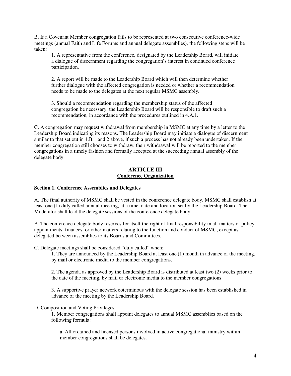B. If a Covenant Member congregation fails to be represented at two consecutive conference-wide meetings (annual Faith and Life Forums and annual delegate assemblies), the following steps will be taken:

1. A representative from the conference, designated by the Leadership Board, will initiate a dialogue of discernment regarding the congregation's interest in continued conference participation.

2. A report will be made to the Leadership Board which will then determine whether further dialogue with the affected congregation is needed or whether a recommendation needs to be made to the delegates at the next regular MSMC assembly.

3. Should a recommendation regarding the membership status of the affected congregation be necessary, the Leadership Board will be responsible to draft such a recommendation, in accordance with the procedures outlined in 4.A.1.

C. A congregation may request withdrawal from membership in MSMC at any time by a letter to the Leadership Board indicating its reasons. The Leadership Board may initiate a dialogue of discernment similar to that set out in 4.B.1 and 2 above, if such a process has not already been undertaken. If the member congregation still chooses to withdraw, their withdrawal will be reported to the member congregations in a timely fashion and formally accepted at the succeeding annual assembly of the delegate body.

## **ARTICLE III Conference Organization**

## **Section 1. Conference Assemblies and Delegates**

A. The final authority of MSMC shall be vested in the conference delegate body. MSMC shall establish at least one (1) duly called annual meeting, at a time, date and location set by the Leadership Board. The Moderator shall lead the delegate sessions of the conference delegate body.

B. The conference delegate body reserves for itself the right of final responsibility in all matters of policy, appointments, finances, or other matters relating to the function and conduct of MSMC, except as delegated between assemblies to its Boards and Committees.

C. Delegate meetings shall be considered "duly called" when:

1. They are announced by the Leadership Board at least one (1) month in advance of the meeting, by mail or electronic media to the member congregations.

2. The agenda as approved by the Leadership Board is distributed at least two (2) weeks prior to the date of the meeting, by mail or electronic media to the member congregations.

3. A supportive prayer network coterminous with the delegate session has been established in advance of the meeting by the Leadership Board.

## D. Composition and Voting Privileges

1. Member congregations shall appoint delegates to annual MSMC assemblies based on the following formula:

a. All ordained and licensed persons involved in active congregational ministry within member congregations shall be delegates.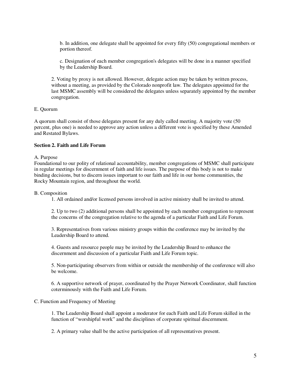b. In addition, one delegate shall be appointed for every fifty (50) congregational members or portion thereof.

c. Designation of each member congregation's delegates will be done in a manner specified by the Leadership Board.

2. Voting by proxy is not allowed. However, delegate action may be taken by written process, without a meeting, as provided by the Colorado nonprofit law. The delegates appointed for the last MSMC assembly will be considered the delegates unless separately appointed by the member congregation.

#### E. Quorum

A quorum shall consist of those delegates present for any duly called meeting. A majority vote (50 percent, plus one) is needed to approve any action unless a different vote is specified by these Amended and Restated Bylaws.

## **Section 2. Faith and Life Forum**

#### A. Purpose

Foundational to our polity of relational accountability, member congregations of MSMC shall participate in regular meetings for discernment of faith and life issues. The purpose of this body is not to make binding decisions, but to discern issues important to our faith and life in our home communities, the Rocky Mountain region, and throughout the world.

#### B. Composition

1. All ordained and/or licensed persons involved in active ministry shall be invited to attend.

2. Up to two (2) additional persons shall be appointed by each member congregation to represent the concerns of the congregation relative to the agenda of a particular Faith and Life Forum.

3. Representatives from various ministry groups within the conference may be invited by the Leadership Board to attend.

4. Guests and resource people may be invited by the Leadership Board to enhance the discernment and discussion of a particular Faith and Life Forum topic.

5. Non-participating observers from within or outside the membership of the conference will also be welcome.

6. A supportive network of prayer, coordinated by the Prayer Network Coordinator, shall function coterminously with the Faith and Life Forum.

#### C. Function and Frequency of Meeting

1. The Leadership Board shall appoint a moderator for each Faith and Life Forum skilled in the function of "worshipful work" and the disciplines of corporate spiritual discernment.

2. A primary value shall be the active participation of all representatives present.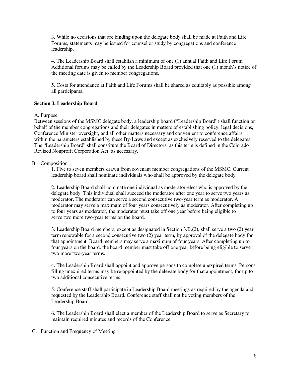3. While no decisions that are binding upon the delegate body shall be made at Faith and Life Forums, statements may be issued for counsel or study by congregations and conference leadership.

4. The Leadership Board shall establish a minimum of one (1) annual Faith and Life Forum. Additional forums may be called by the Leadership Board provided that one (1) month's notice of the meeting date is given to member congregations.

5. Costs for attendance at Faith and Life Forums shall be shared as equitably as possible among all participants.

## **Section 3. Leadership Board**

A. Purpose

Between sessions of the MSMC delegate body, a leadership board ("Leadership Board") shall function on behalf of the member congregations and their delegates in matters of establishing policy, legal decisions, Conference Minister oversight, and all other matters necessary and convenient to conference affairs, within the parameters established by these By-Laws and except as exclusively reserved to the delegates. The "Leadership Board" shall constitute the Board of Directors, as this term is defined in the Colorado Revised Nonprofit Corporation Act, as necessary.

## B. Composition

1. Five to seven members drawn from covenant member congregations of the MSMC. Current leadership board shall nominate individuals who shall be approved by the delegate body.

2. Leadership Board shall nominate one individual as moderator-elect who is approved by the delegate body. This individual shall succeed the moderator after one year to serve two years as moderator. The moderator can serve a second consecutive two-year term as moderator. A moderator may serve a maximum of four years consecutively as moderator. After completing up to four years as moderator, the moderator must take off one year before being eligible to serve two more two-year terms on the board.

3. Leadership Board members, except as designated in Section 3.B.(2), shall serve a two (2) year term renewable for a second consecutive two (2) year term, by approval of the delegate body for that appointment. Board members may serve a maximum of four years. After completing up to four years on the board, the board member must take off one year before being eligible to serve two more two-year terms.

4. The Leadership Board shall appoint and approve persons to complete unexpired terms. Persons filling unexpired terms may be re-appointed by the delegate body for that appointment, for up to two additional consecutive terms.

5. Conference staff shall participate in Leadership Board meetings as required by the agenda and requested by the Leadership Board. Conference staff shall not be voting members of the Leadership Board.

6. The Leadership Board shall elect a member of the Leadership Board to serve as Secretary to maintain required minutes and records of the Conference.

#### C. Function and Frequency of Meeting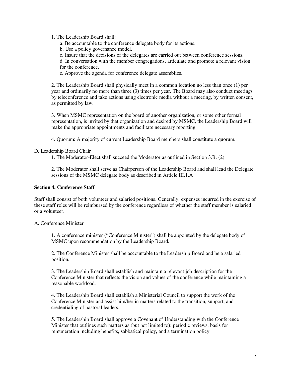1. The Leadership Board shall:

a. Be accountable to the conference delegate body for its actions.

b. Use a policy governance model.

c. Insure that the decisions of the delegates are carried out between conference sessions.

d. In conversation with the member congregations, articulate and promote a relevant vision for the conference.

e. Approve the agenda for conference delegate assemblies.

2. The Leadership Board shall physically meet in a common location no less than once (1) per year and ordinarily no more than three (3) times per year. The Board may also conduct meetings by teleconference and take actions using electronic media without a meeting, by written consent, as permitted by law.

3. When MSMC representation on the board of another organization, or some other formal representation, is invited by that organization and desired by MSMC, the Leadership Board will make the appropriate appointments and facilitate necessary reporting.

4. Quorum: A majority of current Leadership Board members shall constitute a quorum.

#### D. Leadership Board Chair

1. The Moderator-Elect shall succeed the Moderator as outlined in Section 3.B. (2).

2. The Moderator shall serve as Chairperson of the Leadership Board and shall lead the Delegate sessions of the MSMC delegate body as described in Article III.1.A

#### **Section 4. Conference Staff**

Staff shall consist of both volunteer and salaried positions. Generally, expenses incurred in the exercise of these staff roles will be reimbursed by the conference regardless of whether the staff member is salaried or a volunteer.

## A. Conference Minister

1. A conference minister ("Conference Minister") shall be appointed by the delegate body of MSMC upon recommendation by the Leadership Board.

2. The Conference Minister shall be accountable to the Leadership Board and be a salaried position.

3. The Leadership Board shall establish and maintain a relevant job description for the Conference Minister that reflects the vision and values of the conference while maintaining a reasonable workload.

4. The Leadership Board shall establish a Ministerial Council to support the work of the Conference Minister and assist him/her in matters related to the transition, support, and credentialing of pastoral leaders.

5. The Leadership Board shall approve a Covenant of Understanding with the Conference Minister that outlines such matters as (but not limited to): periodic reviews, basis for remuneration including benefits, sabbatical policy, and a termination policy.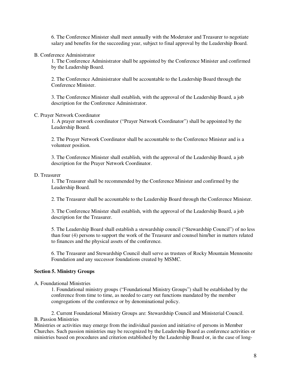6. The Conference Minister shall meet annually with the Moderator and Treasurer to negotiate salary and benefits for the succeeding year, subject to final approval by the Leadership Board.

#### B. Conference Administrator

1. The Conference Administrator shall be appointed by the Conference Minister and confirmed by the Leadership Board.

2. The Conference Administrator shall be accountable to the Leadership Board through the Conference Minister.

3. The Conference Minister shall establish, with the approval of the Leadership Board, a job description for the Conference Administrator.

#### C. Prayer Network Coordinator

1. A prayer network coordinator ("Prayer Network Coordinator") shall be appointed by the Leadership Board.

2. The Prayer Network Coordinator shall be accountable to the Conference Minister and is a volunteer position.

3. The Conference Minister shall establish, with the approval of the Leadership Board, a job description for the Prayer Network Coordinator.

#### D. Treasurer

1. The Treasurer shall be recommended by the Conference Minister and confirmed by the Leadership Board.

2. The Treasurer shall be accountable to the Leadership Board through the Conference Minister.

3. The Conference Minister shall establish, with the approval of the Leadership Board, a job description for the Treasurer.

5. The Leadership Board shall establish a stewardship council ("Stewardship Council") of no less than four (4) persons to support the work of the Treasurer and counsel him/her in matters related to finances and the physical assets of the conference.

6. The Treasurer and Stewardship Council shall serve as trustees of Rocky Mountain Mennonite Foundation and any successor foundations created by MSMC.

## **Section 5. Ministry Groups**

#### A. Foundational Ministries

1. Foundational ministry groups ("Foundational Ministry Groups") shall be established by the conference from time to time, as needed to carry out functions mandated by the member congregations of the conference or by denominational policy.

2. Current Foundational Ministry Groups are: Stewardship Council and Ministerial Council. B. Passion Ministries

Ministries or activities may emerge from the individual passion and initiative of persons in Member Churches. Such passion ministries may be recognized by the Leadership Board as conference activities or ministries based on procedures and criterion established by the Leadership Board or, in the case of long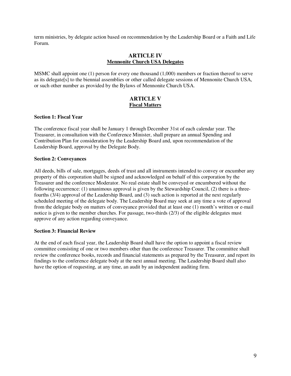term ministries, by delegate action based on recommendation by the Leadership Board or a Faith and Life Forum.

## **ARTICLE IV Mennonite Church USA Delegates**

MSMC shall appoint one (1) person for every one thousand (1,000) members or fraction thereof to serve as its delegate[s] to the biennial assemblies or other called delegate sessions of Mennonite Church USA, or such other number as provided by the Bylaws of Mennonite Church USA.

## **ARTICLE V Fiscal Matters**

#### **Section 1: Fiscal Year**

The conference fiscal year shall be January 1 through December 31st of each calendar year. The Treasurer, in consultation with the Conference Minister, shall prepare an annual Spending and Contribution Plan for consideration by the Leadership Board and, upon recommendation of the Leadership Board, approval by the Delegate Body.

#### **Section 2: Conveyances**

All deeds, bills of sale, mortgages, deeds of trust and all instruments intended to convey or encumber any property of this corporation shall be signed and acknowledged on behalf of this corporation by the Treasurer and the conference Moderator. No real estate shall be conveyed or encumbered without the following occurrence: (1) unanimous approval is given by the Stewardship Council, (2) there is a threefourths (3/4) approval of the Leadership Board, and (3) such action is reported at the next regularly scheduled meeting of the delegate body. The Leadership Board may seek at any time a vote of approval from the delegate body on matters of conveyance provided that at least one (1) month's written or e-mail notice is given to the member churches. For passage, two-thirds (2/3) of the eligible delegates must approve of any action regarding conveyance.

## **Section 3: Financial Review**

At the end of each fiscal year, the Leadership Board shall have the option to appoint a fiscal review committee consisting of one or two members other than the conference Treasurer. The committee shall review the conference books, records and financial statements as prepared by the Treasurer, and report its findings to the conference delegate body at the next annual meeting. The Leadership Board shall also have the option of requesting, at any time, an audit by an independent auditing firm.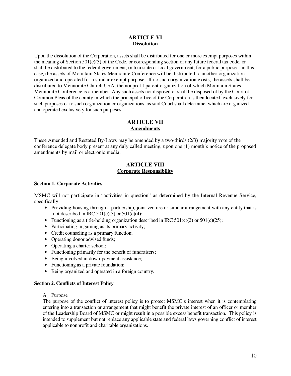## **ARTICLE VI Dissolution**

Upon the dissolution of the Corporation, assets shall be distributed for one or more exempt purposes within the meaning of Section  $501(c)(3)$  of the Code, or corresponding section of any future federal tax code, or shall be distributed to the federal government, or to a state or local government, for a public purpose – in this case, the assets of Mountain States Mennonite Conference will be distributed to another organization organized and operated for a similar exempt purpose. If no such organization exists, the assets shall be distributed to Mennonite Church USA; the nonprofit parent organization of which Mountain States Mennonite Conference is a member. Any such assets not disposed of shall be disposed of by the Court of Common Pleas of the county in which the principal office of the Corporation is then located, exclusively for such purposes or to such organization or organizations, as said Court shall determine, which are organized and operated exclusively for such purposes.

## **ARTICLE VII Amendments**

These Amended and Restated By-Laws may be amended by a two-thirds (2/3) majority vote of the conference delegate body present at any duly called meeting, upon one (1) month's notice of the proposed amendments by mail or electronic media.

## **ARTICLE VIII Corporate Responsibility**

## **Section 1. Corporate Activities**

MSMC will not participate in "activities in question" as determined by the Internal Revenue Service, specifically:

- Providing housing through a partnership, joint venture or similar arrangement with any entity that is not described in IRC  $501(c)(3)$  or  $501(c)(4)$ ;
- Functioning as a title-holding organization described in IRC  $501(c)(2)$  or  $501(c)(25)$ ;
- Participating in gaming as its primary activity;
- Credit counseling as a primary function;
- Operating donor advised funds;
- Operating a charter school;
- Functioning primarily for the benefit of fundraisers;
- Being involved in down-payment assistance;
- Functioning as a private foundation;
- Being organized and operated in a foreign country.

#### **Section 2. Conflicts of Interest Policy**

#### A. Purpose

The purpose of the conflict of interest policy is to protect MSMC's interest when it is contemplating entering into a transaction or arrangement that might benefit the private interest of an officer or member of the Leadership Board of MSMC or might result in a possible excess benefit transaction. This policy is intended to supplement but not replace any applicable state and federal laws governing conflict of interest applicable to nonprofit and charitable organizations.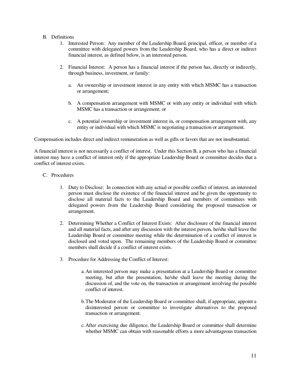## B. Definitions

- 1. Interested Person: Any member of the Leadership Board, principal, officer, or member of a committee with delegated powers from the Leadership Board, who has a direct or indirect financial interest, as defined below, is an interested person.
- 2. Financial Interest: A person has a financial interest if the person has, directly or indirectly, through business, investment, or family:
	- a. An ownership or investment interest in any entity with which MSMC has a transaction or arrangement;
	- b. A compensation arrangement with MSMC or with any entity or individual with which MSMC has a transaction or arrangement; or
	- c. A potential ownership or investment interest in, or compensation arrangement with, any entity or individual with which MSMC is negotiating a transaction or arrangement.

Compensation includes direct and indirect remuneration as well as gifts or favors that are not insubstantial.

A financial interest is not necessarily a conflict of interest. Under this Section B, a person who has a financial interest may have a conflict of interest only if the appropriate Leadership Board or committee decides that a conflict of interest exists.

- C. Procedures
	- 1. Duty to Disclose: In connection with any actual or possible conflict of interest, an interested person must disclose the existence of the financial interest and be given the opportunity to disclose all material facts to the Leadership Board and members of committees with delegated powers from the Leadership Board considering the proposed transaction or arrangement.
	- 2. Determining Whether a Conflict of Interest Exists: After disclosure of the financial interest and all material facts, and after any discussion with the interest person, he/she shall leave the Leadership Board or committee meeting while the determination of a conflict of interest is disclosed and voted upon. The remaining members of the Leadership Board or committee members shall decide if a conflict of interest exists.
	- 3. Procedure for Addressing the Conflict of Interest:
		- a.An interested person may make a presentation at a Leadership Board or committee meeting, but after the presentation, he/she shall leave the meeting during the discussion of, and the vote on, the transaction or arrangement involving the possible conflict of interest.
		- b.The Moderator of the Leadership Board or committee shall, if appropriate, appoint a disinterested person or committee to investigate alternatives to the proposed transaction or arrangement.
		- c.After exercising due diligence, the Leadership Board or committee shall determine whether MSMC can obtain with reasonable efforts a more advantageous transaction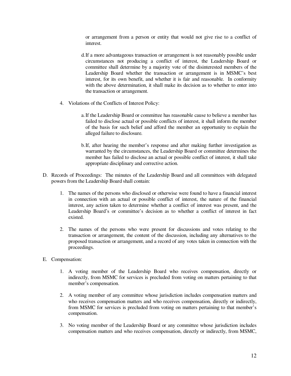or arrangement from a person or entity that would not give rise to a conflict of interest.

- d.If a more advantageous transaction or arrangement is not reasonably possible under circumstances not producing a conflict of interest, the Leadership Board or committee shall determine by a majority vote of the disinterested members of the Leadership Board whether the transaction or arrangement is in MSMC's best interest, for its own benefit, and whether it is fair and reasonable. In conformity with the above determination, it shall make its decision as to whether to enter into the transaction or arrangement.
- 4. Violations of the Conflicts of Interest Policy:
	- a.If the Leadership Board or committee has reasonable cause to believe a member has failed to disclose actual or possible conflicts of interest, it shall inform the member of the basis for such belief and afford the member an opportunity to explain the alleged failure to disclosure.
	- b.If, after hearing the member's response and after making further investigation as warranted by the circumstances, the Leadership Board or committee determines the member has failed to disclose an actual or possible conflict of interest, it shall take appropriate disciplinary and corrective action.
- D. Records of Proceedings: The minutes of the Leadership Board and all committees with delegated powers from the Leadership Board shall contain:
	- 1. The names of the persons who disclosed or otherwise were found to have a financial interest in connection with an actual or possible conflict of interest, the nature of the financial interest, any action taken to determine whether a conflict of interest was present, and the Leadership Board's or committee's decision as to whether a conflict of interest in fact existed.
	- 2. The names of the persons who were present for discussions and votes relating to the transaction or arrangement, the content of the discussion, including any alternatives to the proposed transaction or arrangement, and a record of any votes taken in connection with the proceedings.
- E. Compensation:
	- 1. A voting member of the Leadership Board who receives compensation, directly or indirectly, from MSMC for services is precluded from voting on matters pertaining to that member's compensation.
	- 2. A voting member of any committee whose jurisdiction includes compensation matters and who receives compensation matters and who receives compensation, directly or indirectly, from MSMC for services is precluded from voting on matters pertaining to that member's compensation.
	- 3. No voting member of the Leadership Board or any committee whose jurisdiction includes compensation matters and who receives compensation, directly or indirectly, from MSMC,